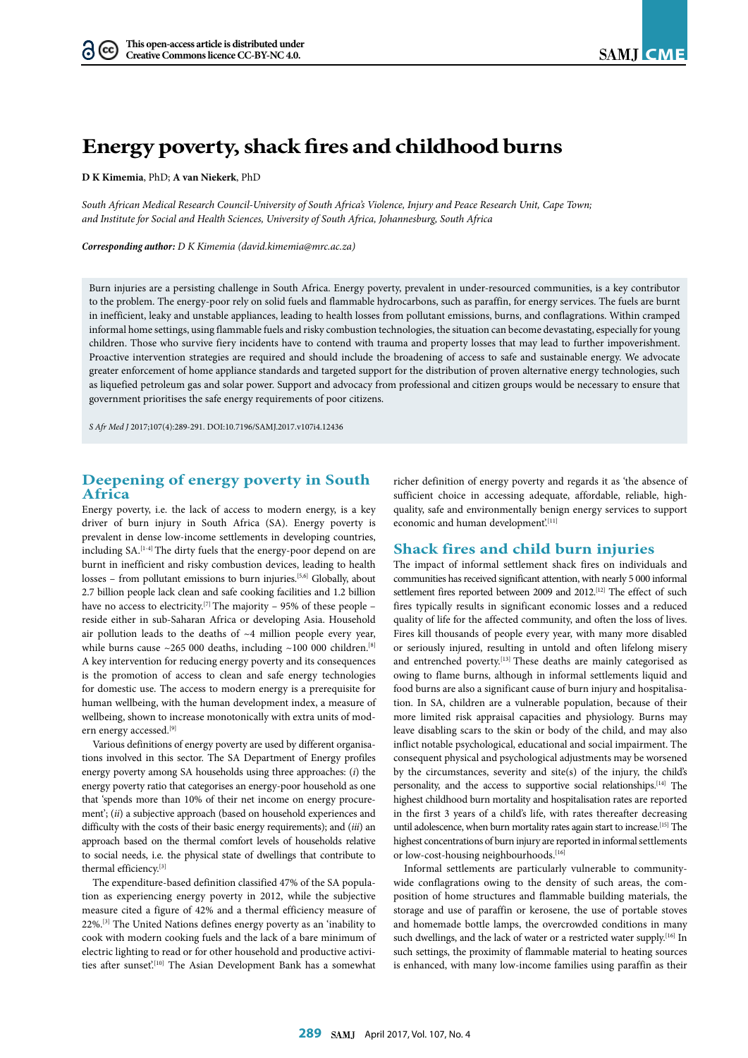# **Energy poverty, shack fires and childhood burns**

**D K Kimemia**, PhD; **A van Niekerk**, PhD

*South African Medical Research Council-University of South Africa's Violence, Injury and Peace Research Unit, Cape Town; and Institute for Social and Health Sciences, University of South Africa, Johannesburg, South Africa*

*Corresponding author: D K Kimemia (david.kimemia@mrc.ac.za)*

Burn injuries are a persisting challenge in South Africa. Energy poverty, prevalent in under-resourced communities, is a key contributor to the problem. The energy-poor rely on solid fuels and flammable hydrocarbons, such as paraffin, for energy services. The fuels are burnt in inefficient, leaky and unstable appliances, leading to health losses from pollutant emissions, burns, and conflagrations. Within cramped informal home settings, using flammable fuels and risky combustion technologies, the situation can become devastating, especially for young children. Those who survive fiery incidents have to contend with trauma and property losses that may lead to further impoverishment. Proactive intervention strategies are required and should include the broadening of access to safe and sustainable energy. We advocate greater enforcement of home appliance standards and targeted support for the distribution of proven alternative energy technologies, such as liquefied petroleum gas and solar power. Support and advocacy from professional and citizen groups would be necessary to ensure that government prioritises the safe energy requirements of poor citizens.

*S Afr Med J* 2017;107(4):289-291. DOI:10.7196/SAMJ.2017.v107i4.12436

### **Deepening of energy poverty in South Africa**

Energy poverty, i.e. the lack of access to modern energy, is a key driver of burn injury in South Africa (SA). Energy poverty is prevalent in dense low-income settlements in developing countries, including SA.<sup>[1-4]</sup> The dirty fuels that the energy-poor depend on are burnt in inefficient and risky combustion devices, leading to health losses – from pollutant emissions to burn injuries.[5,6] Globally, about 2.7 billion people lack clean and safe cooking facilities and 1.2 billion have no access to electricity.<sup>[7]</sup> The majority – 95% of these people – reside either in sub-Saharan Africa or developing Asia. Household air pollution leads to the deaths of  $~4$  million people every year, while burns cause  $\sim$ 265 000 deaths, including  $\sim$ 100 000 children.<sup>[8]</sup> A key intervention for reducing energy poverty and its consequences is the promotion of access to clean and safe energy technologies for domestic use. The access to modern energy is a prerequisite for human wellbeing, with the human development index, a measure of wellbeing, shown to increase monotonically with extra units of modern energy accessed.<sup>[9]</sup>

Various definitions of energy poverty are used by different organisations involved in this sector. The SA Department of Energy profiles energy poverty among SA households using three approaches: (*i*) the energy poverty ratio that categorises an energy-poor household as one that 'spends more than 10% of their net income on energy procurement'; (*ii*) a subjective approach (based on household experiences and difficulty with the costs of their basic energy requirements); and (*iii*) an approach based on the thermal comfort levels of households relative to social needs, i.e. the physical state of dwellings that contribute to thermal efficiency.[3]

The expenditure-based definition classified 47% of the SA population as experiencing energy poverty in 2012, while the subjective measure cited a figure of 42% and a thermal efficiency measure of 22%.[3] The United Nations defines energy poverty as an 'inability to cook with modern cooking fuels and the lack of a bare minimum of electric lighting to read or for other household and productive activities after sunset'.<sup>[10]</sup> The Asian Development Bank has a somewhat

richer definition of energy poverty and regards it as 'the absence of sufficient choice in accessing adequate, affordable, reliable, highquality, safe and environmentally benign energy services to support economic and human development.<sup>[11]</sup>

### **Shack fires and child burn injuries**

The impact of informal settlement shack fires on individuals and communities has received significant attention, with nearly 5 000 informal settlement fires reported between 2009 and 2012.<sup>[12]</sup> The effect of such fires typically results in significant economic losses and a reduced quality of life for the affected community, and often the loss of lives. Fires kill thousands of people every year, with many more disabled or seriously injured, resulting in untold and often lifelong misery and entrenched poverty.<sup>[13]</sup> These deaths are mainly categorised as owing to flame burns, although in informal settlements liquid and food burns are also a significant cause of burn injury and hospitalisation. In SA, children are a vulnerable population, because of their more limited risk appraisal capacities and physiology. Burns may leave disabling scars to the skin or body of the child, and may also inflict notable psychological, educational and social impairment. The consequent physical and psychological adjustments may be worsened by the circumstances, severity and site(s) of the injury, the child's personality, and the access to supportive social relationships.[14] The highest childhood burn mortality and hospitalisation rates are reported in the first 3 years of a child's life, with rates thereafter decreasing until adolescence, when burn mortality rates again start to increase.<sup>[15]</sup> The highest concentrations of burn injury are reported in informal settlements or low-cost-housing neighbourhoods.<sup>[16]</sup>

Informal settlements are particularly vulnerable to communitywide conflagrations owing to the density of such areas, the composition of home structures and flammable building materials, the storage and use of paraffin or kerosene, the use of portable stoves and homemade bottle lamps, the overcrowded conditions in many such dwellings, and the lack of water or a restricted water supply.<sup>[16]</sup> In such settings, the proximity of flammable material to heating sources is enhanced, with many low-income families using paraffin as their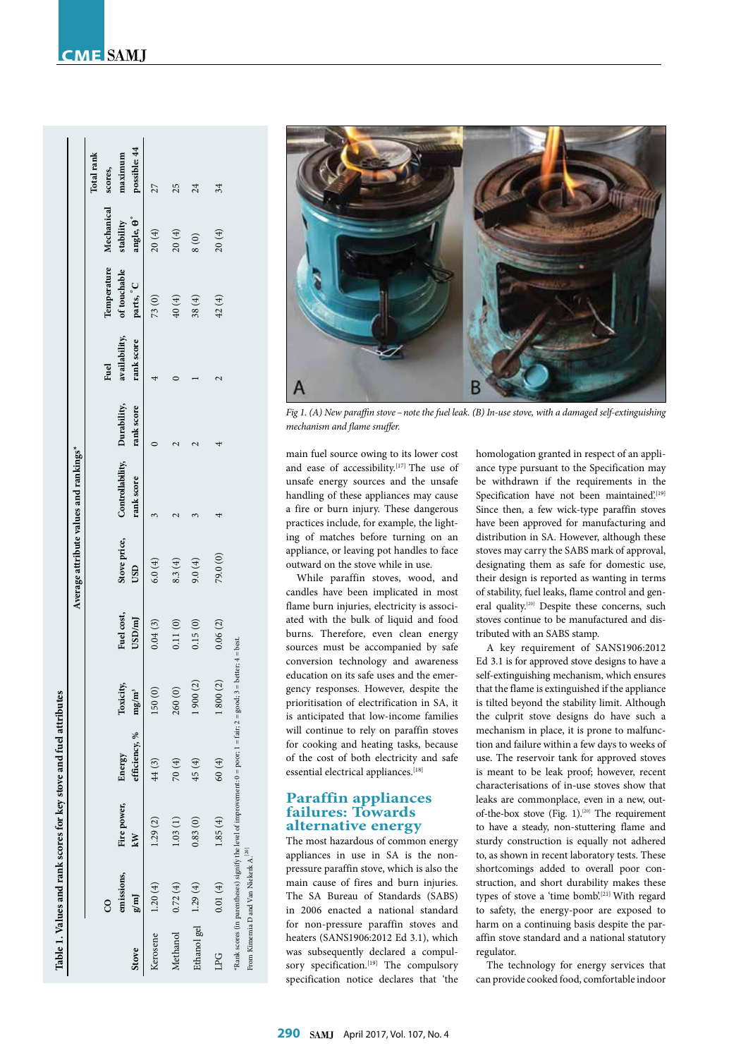# **CME**<br>SAM.I

|                      |                                                   |             | Table 1. Values and rank scores for key stove and fuel attributes                                                      |           |            |              | Average attribute values and rankings* |            |               |                        |                   |              |
|----------------------|---------------------------------------------------|-------------|------------------------------------------------------------------------------------------------------------------------|-----------|------------|--------------|----------------------------------------|------------|---------------|------------------------|-------------------|--------------|
|                      |                                                   |             |                                                                                                                        |           |            |              |                                        |            |               |                        |                   | Total rank   |
|                      | ဒ                                                 |             |                                                                                                                        |           |            |              |                                        |            | Fuel          | Temperature Mechanical |                   | scores,      |
|                      | emissions,                                        | Fire power, | Energy                                                                                                                 | Toxicity, | Fuel cost, | Stove price, | Controllability, Durability,           |            | availability, | of touchable           | stability         | maximum      |
| <b>Stove</b>         | g/m                                               | kW          | efficiency, %                                                                                                          | $mg/m^3$  | USD/m      | USD          | rank score                             | rank score | rank score    | parts, C               | angle, $\theta$ ° | possible: 44 |
| Kerosene             | 1.20(4)                                           | 1.29(2)     | 44(3)                                                                                                                  | 150 (0)   | 0.04(3)    | 6.0(4)       |                                        |            |               | 73(0)                  | 20(4)             | 27           |
| Methanol             | 0.72(4)                                           | 1.03(1)     | 70(4)                                                                                                                  | 260 (     | 0.11(0)    | 8.3(4)       |                                        |            |               | 40(4)                  | 20(4)             | 25           |
| Ethanol gel 1.29 (4) |                                                   | 0.83(0)     | 45 (4)                                                                                                                 | 1900(2)   | 0.15(0)    | 9.0(4)       |                                        |            |               | 38(4)                  | $\frac{8(0)}{2}$  | 24           |
| LPG                  | 0.01(4)                                           | 1.85(4)     | 60(4)                                                                                                                  | 1800(2)   | 0.06(2)    | 79.0 (0)     |                                        |            |               | 42(4)                  | 20(4)             | 34           |
|                      | From Kimemia D and Van Niekerk A. <sup>[20]</sup> |             | $*$ Rank scores (in parentheses) signify the level of improvement: 0 = poor; 1 = fair; 2 = good; 3 = better; 4 = best. |           |            |              |                                        |            |               |                        |                   |              |



*Fig 1. (A) New paraffin stove – note the fuel leak. (B) In-use stove, with a damaged self-extinguishing mechanism and flame snuffer.*

main fuel source owing to its lower cost and ease of accessibility.<sup>[17]</sup> The use of unsafe energy sources and the unsafe handling of these appliances may cause a fire or burn injury. These dangerous practices include, for example, the lighting of matches before turning on an appliance, or leaving pot handles to face outward on the stove while in use.

While paraffin stoves, wood, and candles have been implicated in most flame burn injuries, electricity is associated with the bulk of liquid and food burns. Therefore, even clean energy sources must be accompanied by safe conversion technology and awareness education on its safe uses and the emergency responses. However, despite the prioritisation of electrification in SA, it is anticipated that low-income families will continue to rely on paraffin stoves for cooking and heating tasks, because of the cost of both electricity and safe essential electrical appliances.<sup>[18]</sup>

## **Paraffin appliances failures: Towards alternative energy**

The most hazardous of common energy appliances in use in SA is the nonpressure paraffin stove, which is also the main cause of fires and burn injuries. The SA Bureau of Standards (SABS) in 2006 enacted a national standard for non-pressure paraffin stoves and heaters (SANS1906:2012 Ed 3.1), which was subsequently declared a compulsory specification.<sup>[19]</sup> The compulsory specification notice declares that 'the

homologation granted in respect of an appliance type pursuant to the Specification may be withdrawn if the requirements in the Specification have not been maintained.[19] Since then, a few wick-type paraffin stoves have been approved for manufacturing and distribution in SA. However, although these stoves may carry the SABS mark of approval, designating them as safe for domestic use, their design is reported as wanting in terms of stability, fuel leaks, flame control and general quality.<sup>[20]</sup> Despite these concerns, such stoves continue to be manufactured and distributed with an SABS stamp.

A key requirement of SANS1906:2012 Ed 3.1 is for approved stove designs to have a self-extinguishing mechanism, which ensures that the flame is extinguished if the appliance is tilted beyond the stability limit. Although the culprit stove designs do have such a mechanism in place, it is prone to malfunction and failure within a few days to weeks of use. The reservoir tank for approved stoves is meant to be leak proof; however, recent characterisations of in-use stoves show that leaks are commonplace, even in a new, outof-the-box stove (Fig. 1).<sup>[20]</sup> The requirement to have a steady, non-stuttering flame and sturdy construction is equally not adhered to, as shown in recent laboratory tests. These shortcomings added to overall poor construction, and short durability makes these types of stove a 'time bomb'.<sup>[21]</sup> With regard to safety, the energy-poor are exposed to harm on a continuing basis despite the paraffin stove standard and a national statutory regulator.

The technology for energy services that can provide cooked food, comfortable indoor